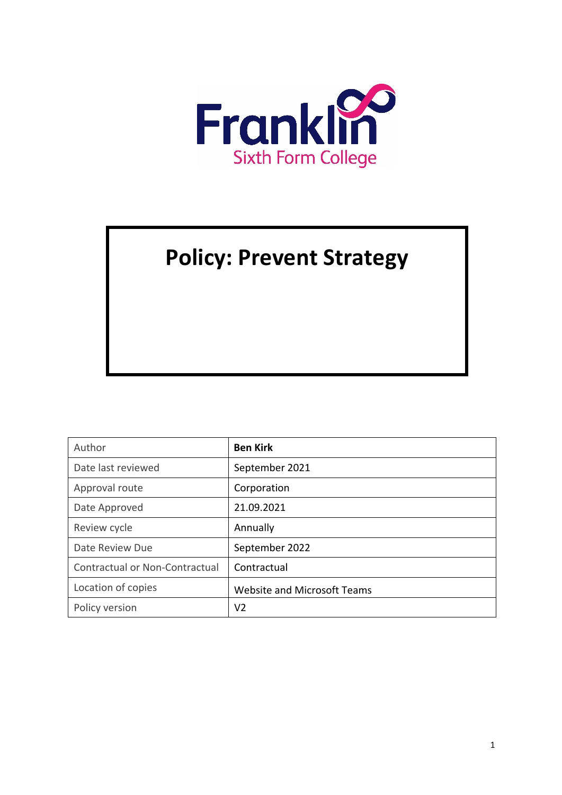

# **Policy: Prevent Strategy**

| Author                         | <b>Ben Kirk</b>                    |
|--------------------------------|------------------------------------|
| Date last reviewed             | September 2021                     |
| Approval route                 | Corporation                        |
| Date Approved                  | 21.09.2021                         |
| Review cycle                   | Annually                           |
| Date Review Due                | September 2022                     |
| Contractual or Non-Contractual | Contractual                        |
| Location of copies             | <b>Website and Microsoft Teams</b> |
| Policy version                 | V <sub>2</sub>                     |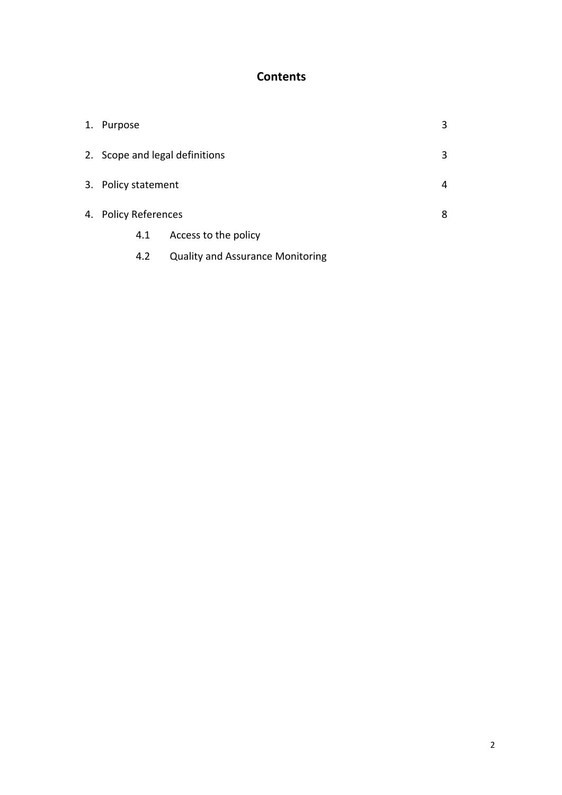## **Contents**

| 1. | Purpose                        |                                         | 3 |
|----|--------------------------------|-----------------------------------------|---|
|    | 2. Scope and legal definitions |                                         | 3 |
|    | 3. Policy statement            |                                         | 4 |
|    | 4. Policy References           |                                         | 8 |
|    | 4.1                            | Access to the policy                    |   |
|    | 4.2                            | <b>Quality and Assurance Monitoring</b> |   |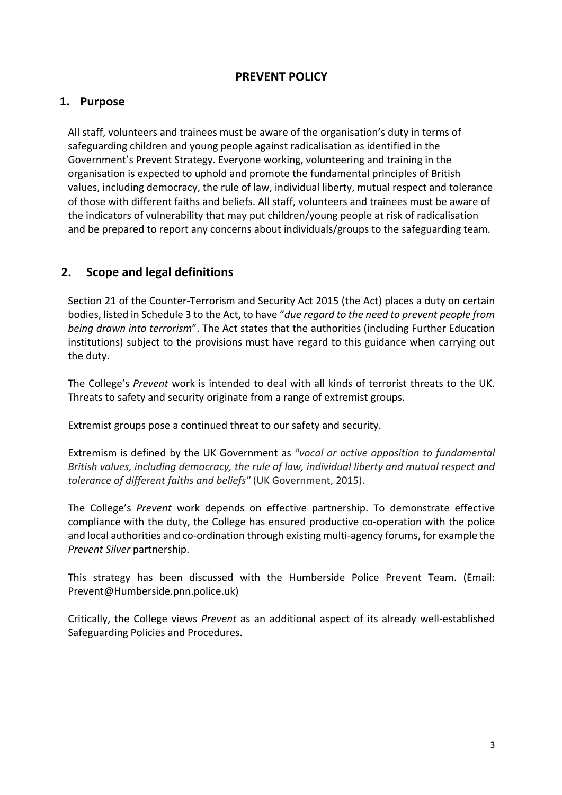## **PREVENT POLICY**

### **1. Purpose**

All staff, volunteers and trainees must be aware of the organisation's duty in terms of safeguarding children and young people against radicalisation as identified in the Government's Prevent Strategy. Everyone working, volunteering and training in the organisation is expected to uphold and promote the fundamental principles of British values, including democracy, the rule of law, individual liberty, mutual respect and tolerance of those with different faiths and beliefs. All staff, volunteers and trainees must be aware of the indicators of vulnerability that may put children/young people at risk of radicalisation and be prepared to report any concerns about individuals/groups to the safeguarding team.

## **2. Scope and legal definitions**

Section 21 of the Counter-Terrorism and Security Act 2015 (the Act) places a duty on certain bodies, listed in Schedule 3 to the Act, to have "*due regard to the need to prevent people from being drawn into terrorism*". The Act states that the authorities (including Further Education institutions) subject to the provisions must have regard to this guidance when carrying out the duty.

The College's *Prevent* work is intended to deal with all kinds of terrorist threats to the UK. Threats to safety and security originate from a range of extremist groups.

Extremist groups pose a continued threat to our safety and security.

Extremism is defined by the UK Government as *"vocal or active opposition to fundamental British values, including democracy, the rule of law, individual liberty and mutual respect and tolerance of different faiths and beliefs"* (UK Government, 2015).

The College's *Prevent* work depends on effective partnership. To demonstrate effective compliance with the duty, the College has ensured productive co-operation with the police and local authorities and co-ordination through existing multi-agency forums, for example the *Prevent Silver* partnership.

This strategy has been discussed with the Humberside Police Prevent Team. (Email: Prevent@Humberside.pnn.police.uk)

Critically, the College views *Prevent* as an additional aspect of its already well-established Safeguarding Policies and Procedures.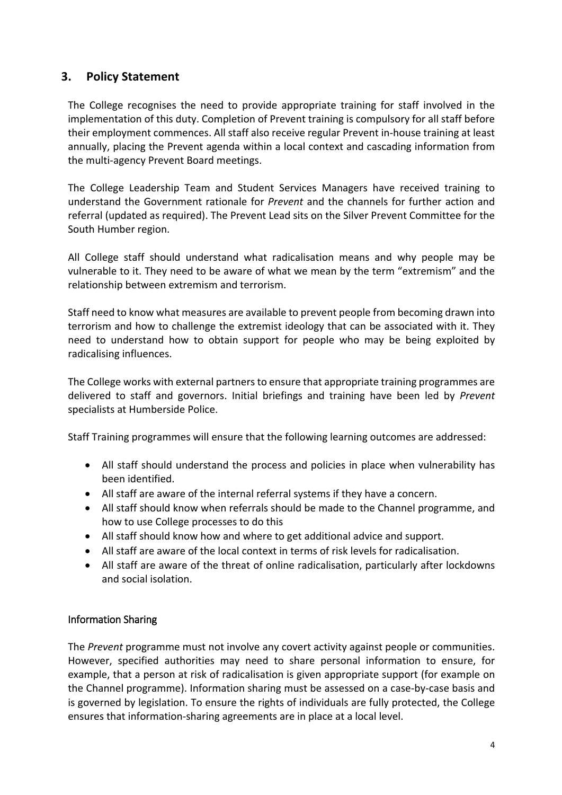## **3. Policy Statement**

The College recognises the need to provide appropriate training for staff involved in the implementation of this duty. Completion of Prevent training is compulsory for all staff before their employment commences. All staff also receive regular Prevent in-house training at least annually, placing the Prevent agenda within a local context and cascading information from the multi-agency Prevent Board meetings.

The College Leadership Team and Student Services Managers have received training to understand the Government rationale for *Prevent* and the channels for further action and referral (updated as required). The Prevent Lead sits on the Silver Prevent Committee for the South Humber region.

All College staff should understand what radicalisation means and why people may be vulnerable to it. They need to be aware of what we mean by the term "extremism" and the relationship between extremism and terrorism.

Staff need to know what measures are available to prevent people from becoming drawn into terrorism and how to challenge the extremist ideology that can be associated with it. They need to understand how to obtain support for people who may be being exploited by radicalising influences.

The College works with external partners to ensure that appropriate training programmes are delivered to staff and governors. Initial briefings and training have been led by *Prevent* specialists at Humberside Police.

Staff Training programmes will ensure that the following learning outcomes are addressed:

- All staff should understand the process and policies in place when vulnerability has been identified.
- All staff are aware of the internal referral systems if they have a concern.
- All staff should know when referrals should be made to the Channel programme, and how to use College processes to do this
- All staff should know how and where to get additional advice and support.
- All staff are aware of the local context in terms of risk levels for radicalisation.
- All staff are aware of the threat of online radicalisation, particularly after lockdowns and social isolation.

#### Information Sharing

The *Prevent* programme must not involve any covert activity against people or communities. However, specified authorities may need to share personal information to ensure, for example, that a person at risk of radicalisation is given appropriate support (for example on the Channel programme). Information sharing must be assessed on a case-by-case basis and is governed by legislation. To ensure the rights of individuals are fully protected, the College ensures that information-sharing agreements are in place at a local level.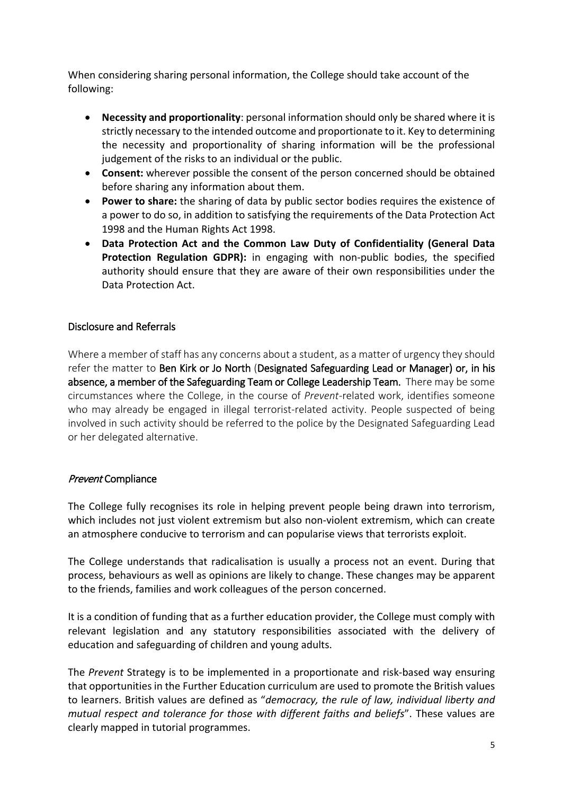When considering sharing personal information, the College should take account of the following:

- **Necessity and proportionality**: personal information should only be shared where it is strictly necessary to the intended outcome and proportionate to it. Key to determining the necessity and proportionality of sharing information will be the professional judgement of the risks to an individual or the public.
- **Consent:** wherever possible the consent of the person concerned should be obtained before sharing any information about them.
- **Power to share:** the sharing of data by public sector bodies requires the existence of a power to do so, in addition to satisfying the requirements of the Data Protection Act 1998 and the Human Rights Act 1998.
- **Data Protection Act and the Common Law Duty of Confidentiality (General Data Protection Regulation GDPR):** in engaging with non-public bodies, the specified authority should ensure that they are aware of their own responsibilities under the Data Protection Act.

#### Disclosure and Referrals

Where a member of staff has any concerns about a student, as a matter of urgency they should refer the matter to Ben Kirk or Jo North (Designated Safeguarding Lead or Manager) or, in his absence, a member of the Safeguarding Team or College Leadership Team. There may be some circumstances where the College, in the course of *Prevent*-related work, identifies someone who may already be engaged in illegal terrorist-related activity. People suspected of being involved in such activity should be referred to the police by the Designated Safeguarding Lead or her delegated alternative.

#### Prevent Compliance

The College fully recognises its role in helping prevent people being drawn into terrorism, which includes not just violent extremism but also non-violent extremism, which can create an atmosphere conducive to terrorism and can popularise views that terrorists exploit.

The College understands that radicalisation is usually a process not an event. During that process, behaviours as well as opinions are likely to change. These changes may be apparent to the friends, families and work colleagues of the person concerned.

It is a condition of funding that as a further education provider, the College must comply with relevant legislation and any statutory responsibilities associated with the delivery of education and safeguarding of children and young adults.

The *Prevent* Strategy is to be implemented in a proportionate and risk-based way ensuring that opportunities in the Further Education curriculum are used to promote the British values to learners. British values are defined as "*democracy, the rule of law, individual liberty and mutual respect and tolerance for those with different faiths and beliefs*". These values are clearly mapped in tutorial programmes.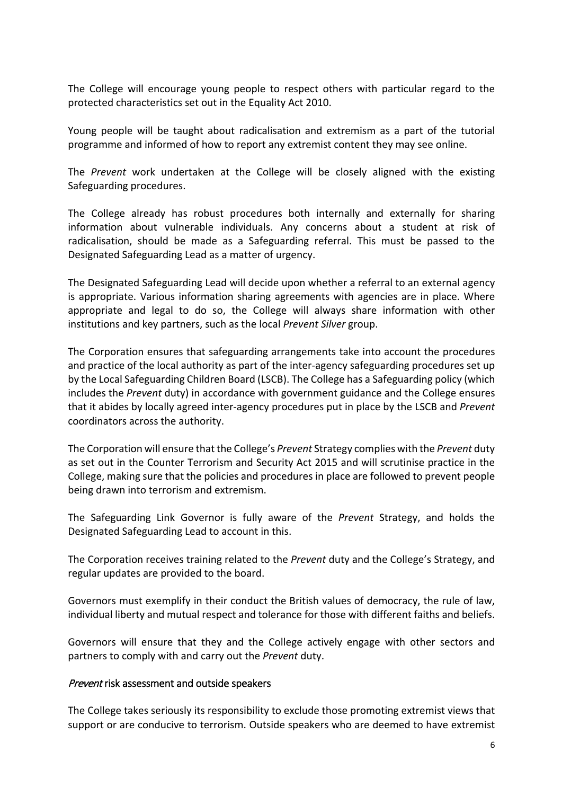The College will encourage young people to respect others with particular regard to the protected characteristics set out in the Equality Act 2010.

Young people will be taught about radicalisation and extremism as a part of the tutorial programme and informed of how to report any extremist content they may see online.

The *Prevent* work undertaken at the College will be closely aligned with the existing Safeguarding procedures.

The College already has robust procedures both internally and externally for sharing information about vulnerable individuals. Any concerns about a student at risk of radicalisation, should be made as a Safeguarding referral. This must be passed to the Designated Safeguarding Lead as a matter of urgency.

The Designated Safeguarding Lead will decide upon whether a referral to an external agency is appropriate. Various information sharing agreements with agencies are in place. Where appropriate and legal to do so, the College will always share information with other institutions and key partners, such as the local *Prevent Silver* group.

The Corporation ensures that safeguarding arrangements take into account the procedures and practice of the local authority as part of the inter-agency safeguarding procedures set up by the Local Safeguarding Children Board (LSCB). The College has a Safeguarding policy (which includes the *Prevent* duty) in accordance with government guidance and the College ensures that it abides by locally agreed inter-agency procedures put in place by the LSCB and *Prevent* coordinators across the authority.

The Corporation will ensure that the College's *Prevent* Strategy complies with the *Prevent* duty as set out in the Counter Terrorism and Security Act 2015 and will scrutinise practice in the College, making sure that the policies and procedures in place are followed to prevent people being drawn into terrorism and extremism.

The Safeguarding Link Governor is fully aware of the *Prevent* Strategy, and holds the Designated Safeguarding Lead to account in this.

The Corporation receives training related to the *Prevent* duty and the College's Strategy, and regular updates are provided to the board.

Governors must exemplify in their conduct the British values of democracy, the rule of law, individual liberty and mutual respect and tolerance for those with different faiths and beliefs.

Governors will ensure that they and the College actively engage with other sectors and partners to comply with and carry out the *Prevent* duty.

#### Prevent risk assessment and outside speakers

The College takes seriously its responsibility to exclude those promoting extremist views that support or are conducive to terrorism. Outside speakers who are deemed to have extremist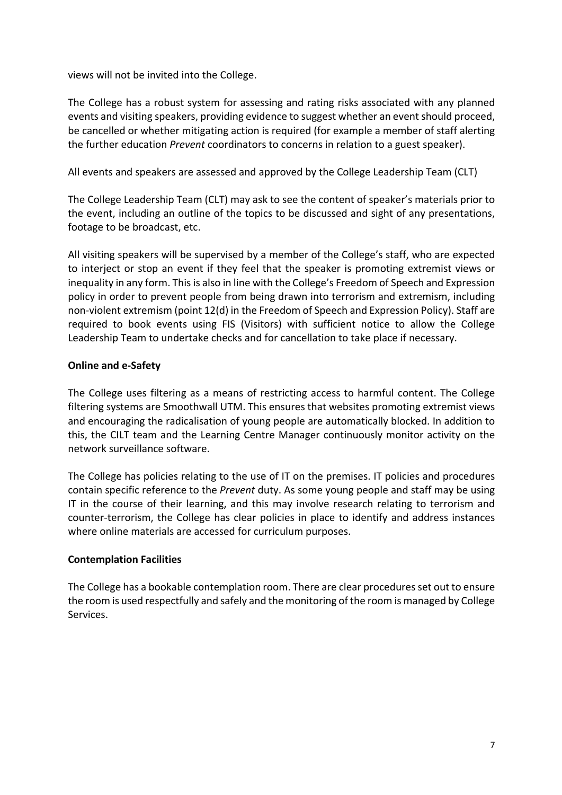views will not be invited into the College.

The College has a robust system for assessing and rating risks associated with any planned events and visiting speakers, providing evidence to suggest whether an event should proceed, be cancelled or whether mitigating action is required (for example a member of staff alerting the further education *Prevent* coordinators to concerns in relation to a guest speaker).

All events and speakers are assessed and approved by the College Leadership Team (CLT)

The College Leadership Team (CLT) may ask to see the content of speaker's materials prior to the event, including an outline of the topics to be discussed and sight of any presentations, footage to be broadcast, etc.

All visiting speakers will be supervised by a member of the College's staff, who are expected to interject or stop an event if they feel that the speaker is promoting extremist views or inequality in any form. This is also in line with the College's Freedom of Speech and Expression policy in order to prevent people from being drawn into terrorism and extremism, including non-violent extremism (point 12(d) in the Freedom of Speech and Expression Policy). Staff are required to book events using FIS (Visitors) with sufficient notice to allow the College Leadership Team to undertake checks and for cancellation to take place if necessary.

#### **Online and e-Safety**

The College uses filtering as a means of restricting access to harmful content. The College filtering systems are Smoothwall UTM. This ensures that websites promoting extremist views and encouraging the radicalisation of young people are automatically blocked. In addition to this, the CILT team and the Learning Centre Manager continuously monitor activity on the network surveillance software.

The College has policies relating to the use of IT on the premises. IT policies and procedures contain specific reference to the *Prevent* duty. As some young people and staff may be using IT in the course of their learning, and this may involve research relating to terrorism and counter-terrorism, the College has clear policies in place to identify and address instances where online materials are accessed for curriculum purposes.

#### **Contemplation Facilities**

The College has a bookable contemplation room. There are clear procedures set out to ensure the room is used respectfully and safely and the monitoring of the room is managed by College Services.